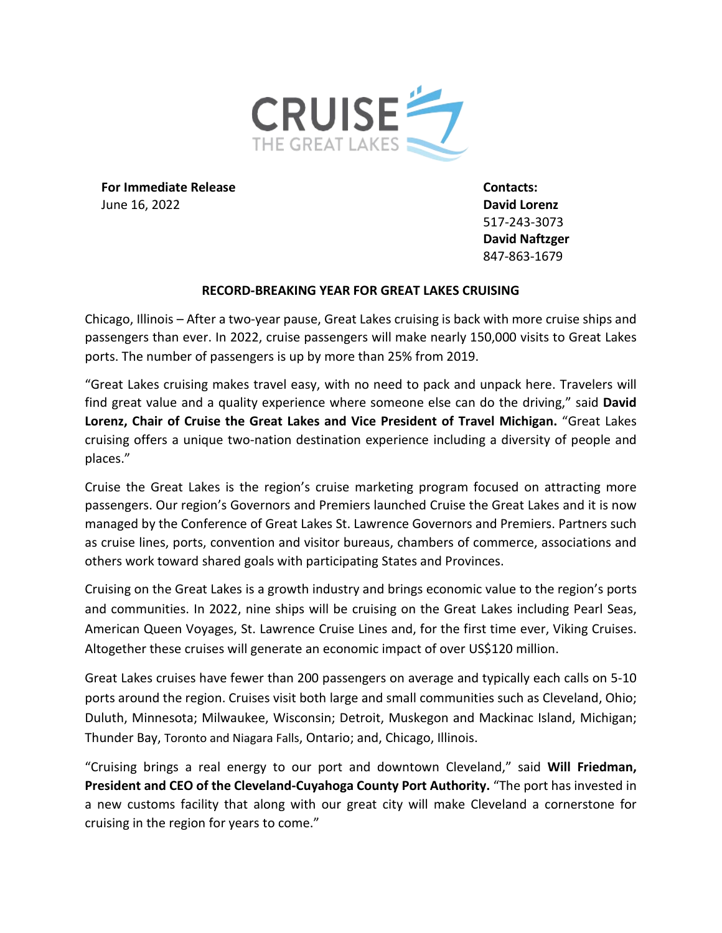

**For Immediate Release Contacts:**  June 16, 2022 **David Lorenz** 

517-243-3073 **David Naftzger** 847-863-1679

## **RECORD-BREAKING YEAR FOR GREAT LAKES CRUISING**

Chicago, Illinois – After a two-year pause, Great Lakes cruising is back with more cruise ships and passengers than ever. In 2022, cruise passengers will make nearly 150,000 visits to Great Lakes ports. The number of passengers is up by more than 25% from 2019.

"Great Lakes cruising makes travel easy, with no need to pack and unpack here. Travelers will find great value and a quality experience where someone else can do the driving," said **David Lorenz, Chair of Cruise the Great Lakes and Vice President of Travel Michigan.** "Great Lakes cruising offers a unique two-nation destination experience including a diversity of people and places."

Cruise the Great Lakes is the region's cruise marketing program focused on attracting more passengers. Our region's Governors and Premiers launched Cruise the Great Lakes and it is now managed by the Conference of Great Lakes St. Lawrence Governors and Premiers. Partners such as cruise lines, ports, convention and visitor bureaus, chambers of commerce, associations and others work toward shared goals with participating States and Provinces.

Cruising on the Great Lakes is a growth industry and brings economic value to the region's ports and communities. In 2022, nine ships will be cruising on the Great Lakes including Pearl Seas, American Queen Voyages, St. Lawrence Cruise Lines and, for the first time ever, Viking Cruises. Altogether these cruises will generate an economic impact of over US\$120 million.

Great Lakes cruises have fewer than 200 passengers on average and typically each calls on 5-10 ports around the region. Cruises visit both large and small communities such as Cleveland, Ohio; Duluth, Minnesota; Milwaukee, Wisconsin; Detroit, Muskegon and Mackinac Island, Michigan; Thunder Bay, Toronto and Niagara Falls, Ontario; and, Chicago, Illinois.

"Cruising brings a real energy to our port and downtown Cleveland," said **Will Friedman, President and CEO of the Cleveland-Cuyahoga County Port Authority.** "The port has invested in a new customs facility that along with our great city will make Cleveland a cornerstone for cruising in the region for years to come."